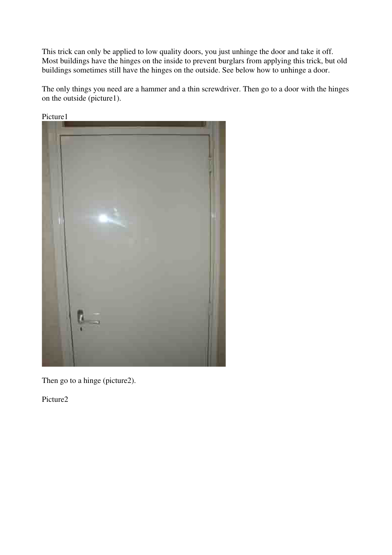This trick can only be applied to low quality doors, you just unhinge the door and take it off. Most buildings have the hinges on the inside to prevent burglars from applying this trick, but old buildings sometimes still have the hinges on the outside. See below how to unhinge a door.

The only things you need are a hammer and a thin screwdriver. Then go to a door with the hinges on the outside (picture1).



Picture1

Then go to a hinge (picture2).

Picture2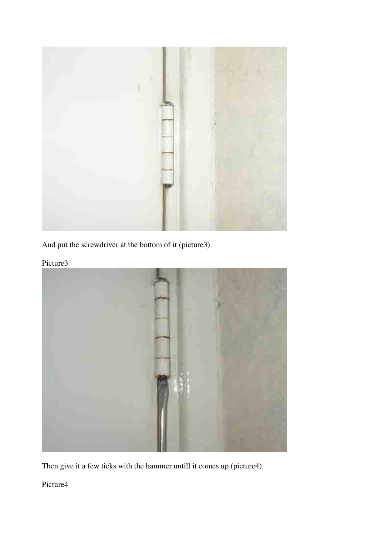

And put the screwdriver at the bottom of it (picture3).

Picture3



Then give it a few ticks with the hammer untill it comes up (picture4).

Picture4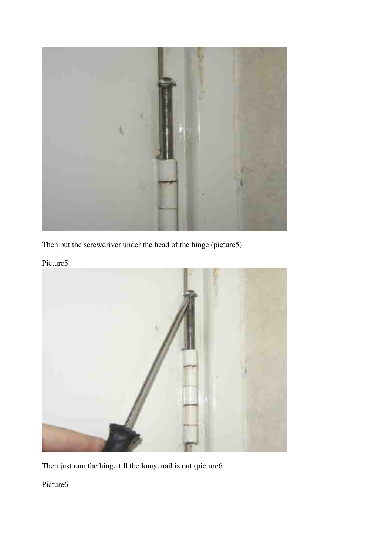

Then put the screwdriver under the head of the hinge (picture5).

Picture5



Then just ram the hinge till the longe nail is out (picture6.

Picture6